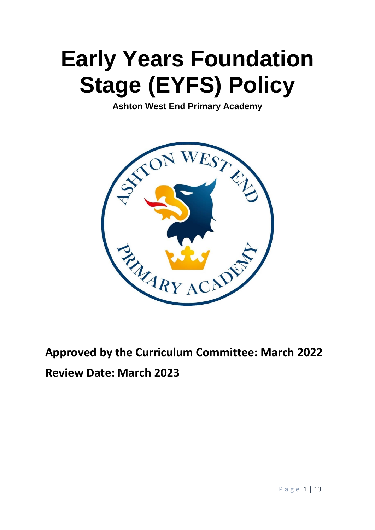# **Early Years Foundation Stage (EYFS) Policy**

**Ashton West End Primary Academy**



**Approved by the Curriculum Committee: March 2022 Review Date: March 2023**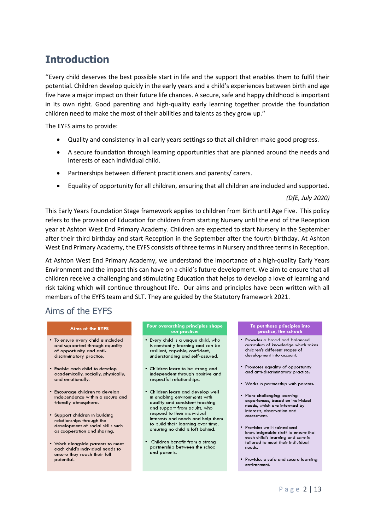# **Introduction**

''Every child deserves the best possible start in life and the support that enables them to fulfil their potential. Children develop quickly in the early years and a child's experiences between birth and age five have a major impact on their future life chances. A secure, safe and happy childhood is important in its own right. Good parenting and high-quality early learning together provide the foundation children need to make the most of their abilities and talents as they grow up.''

The EYFS aims to provide:

- Quality and consistency in all early years settings so that all children make good progress.
- A secure foundation through learning opportunities that are planned around the needs and interests of each individual child.
- Partnerships between different practitioners and parents/ carers.
- Equality of opportunity for all children, ensuring that all children are included and supported.

#### *(DfE, July 2020)*

This Early Years Foundation Stage framework applies to children from Birth until Age Five. This policy refers to the provision of Education for children from starting Nursery until the end of the Reception year at Ashton West End Primary Academy. Children are expected to start Nursery in the September after their third birthday and start Reception in the September after the fourth birthday. At Ashton West End Primary Academy, the EYFS consists of three terms in Nursery and three terms in Reception.

At Ashton West End Primary Academy, we understand the importance of a high-quality Early Years Environment and the impact this can have on a child's future development. We aim to ensure that all children receive a challenging and stimulating Education that helps to develop a love of learning and risk taking which will continue throughout life. Our aims and principles have been written with all members of the EYFS team and SLT. They are guided by the Statutory framework 2021.

# Aims of the EYFS

#### **Aims of the EYFS**

- . To ensure every child is included and supported through equality of opportunity and antidiscriminatory practice.
- Enable each child to develop academically, socially, physically, and emotionally.
- · Encourage children to develop independence within a secure and friendly atmosphere.
- · Support children in building relationships through the development of social skills such as cooperation and sharing.
- Work alongside parents to meet each child's individual needs to ensure they reach their full potential.

#### Four overarching principles shape our practice

- Every child is a unique child, who is constantly learning and can be resilient, capable, confident, understanding and self-assured.
- . Children learn to be strong and independent through positive and respectful relationships.
- Children learn and develop well in enabling environments with quality and consistent teaching and support from adults, who respond to their individual interests and needs and help them to build their learning over time, ensuring no child is left behind.
- Children benefit from a strong partnership between the school and parents.

#### To put these principles into por mose principies is

- Provides a broad and balanced curriculum of knowledge which takes children's different stages of development into account.
- Promotes equality of opportunity and anti-discriminatory practice.
- . Works in partnership with parents.
- · Plans challenging learning experiences, based on individual needs, which are informed by interests, observation and assessment.
- · Provides well-trained and knowledgeable staff to ensure that each child's learning and care is tailored to meet their individual needs.
- Provides a safe and secure learning environment.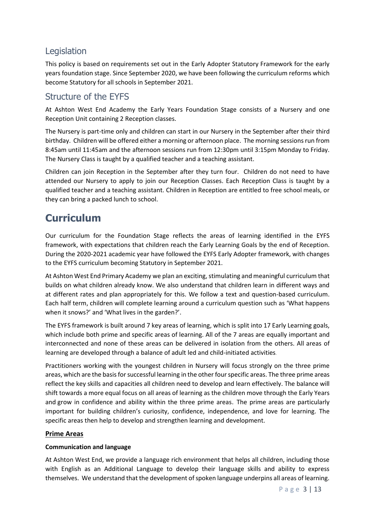# Legislation

This policy is based on requirements set out in the Early Adopter [Statutory](https://www.gov.uk/government/uploads/system/uploads/attachment_data/file/596629/EYFS_STATUTORY_FRAMEWORK_2017.pdf) Framework for the early years foundation stage. Since September 2020, we have been following the curriculum reforms which become Statutory for all schools in September 2021.

# Structure of the EYFS

At Ashton West End Academy the Early Years Foundation Stage consists of a Nursery and one Reception Unit containing 2 Reception classes.

The Nursery is part-time only and children can start in our Nursery in the September after their third birthday. Children will be offered either a morning or afternoon place. The morning sessions run from 8:45am until 11:45am and the afternoon sessions run from 12:30pm until 3:15pm Monday to Friday. The Nursery Class is taught by a qualified teacher and a teaching assistant.

Children can join Reception in the September after they turn four. Children do not need to have attended our Nursery to apply to join our Reception Classes. Each Reception Class is taught by a qualified teacher and a teaching assistant. Children in Reception are entitled to free school meals, or they can bring a packed lunch to school.

# **Curriculum**

Our curriculum for the Foundation Stage reflects the areas of learning identified in the EYFS framework, with expectations that children reach the Early Learning Goals by the end of Reception. During the 2020-2021 academic year have followed the EYFS Early Adopter framework, with changes to the EYFS curriculum becoming Statutory in September 2021.

At Ashton West End Primary Academy we plan an exciting, stimulating and meaningful curriculum that builds on what children already know. We also understand that children learn in different ways and at different rates and plan appropriately for this. We follow a text and question-based curriculum. Each half term, children will complete learning around a curriculum question such as 'What happens when it snows?' and 'What lives in the garden?'.

The EYFS framework is built around 7 key areas of learning, which is split into 17 Early Learning goals, which include both prime and specific areas of learning. All of the 7 areas are equally important and interconnected and none of these areas can be delivered in isolation from the others. All areas of learning are developed through a balance of adult led and child-initiated activities.

Practitioners working with the youngest children in Nursery will focus strongly on the three prime areas, which are the basis for successful learning in the other four specific areas. The three prime areas reflect the key skills and capacities all children need to develop and learn effectively. The balance will shift towards a more equal focus on all areas of learning as the children move through the Early Years and grow in confidence and ability within the three prime areas. The prime areas are particularly important for building children's curiosity, confidence, independence, and love for learning. The specific areas then help to develop and strengthen learning and development.

# **Prime Areas**

# **Communication and language**

At Ashton West End, we provide a language rich environment that helps all children, including those with English as an Additional Language to develop their language skills and ability to express themselves. We understand that the development of spoken language underpins all areas of learning.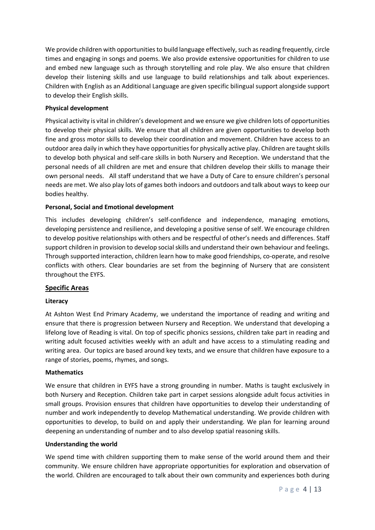We provide children with opportunities to build language effectively, such as reading frequently, circle times and engaging in songs and poems. We also provide extensive opportunities for children to use and embed new language such as through storytelling and role play. We also ensure that children develop their listening skills and use language to build relationships and talk about experiences. Children with English as an Additional Language are given specific bilingual support alongside support to develop their English skills.

## **Physical development**

Physical activity is vital in children's development and we ensure we give children lots of opportunities to develop their physical skills. We ensure that all children are given opportunities to develop both fine and gross motor skills to develop their coordination and movement. Children have access to an outdoor area daily in which they have opportunities for physically active play. Children are taught skills to develop both physical and self-care skills in both Nursery and Reception. We understand that the personal needs of all children are met and ensure that children develop their skills to manage their own personal needs. All staff understand that we have a Duty of Care to ensure children's personal needs are met. We also play lots of games both indoors and outdoors and talk about ways to keep our bodies healthy.

## **Personal, Social and Emotional development**

This includes developing children's self-confidence and independence, managing emotions, developing persistence and resilience, and developing a positive sense of self. We encourage children to develop positive relationships with others and be respectful of other's needs and differences. Staff support children in provision to develop social skills and understand their own behaviour and feelings. Through supported interaction, children learn how to make good friendships, co-operate, and resolve conflicts with others. Clear boundaries are set from the beginning of Nursery that are consistent throughout the EYFS.

## **Specific Areas**

## **Literacy**

At Ashton West End Primary Academy, we understand the importance of reading and writing and ensure that there is progression between Nursery and Reception. We understand that developing a lifelong love of Reading is vital. On top of specific phonics sessions, children take part in reading and writing adult focused activities weekly with an adult and have access to a stimulating reading and writing area. Our topics are based around key texts, and we ensure that children have exposure to a range of stories, poems, rhymes, and songs.

## **Mathematics**

We ensure that children in EYFS have a strong grounding in number. Maths is taught exclusively in both Nursery and Reception. Children take part in carpet sessions alongside adult focus activities in small groups. Provision ensures that children have opportunities to develop their understanding of number and work independently to develop Mathematical understanding. We provide children with opportunities to develop, to build on and apply their understanding. We plan for learning around deepening an understanding of number and to also develop spatial reasoning skills.

## **Understanding the world**

We spend time with children supporting them to make sense of the world around them and their community. We ensure children have appropriate opportunities for exploration and observation of the world. Children are encouraged to talk about their own community and experiences both during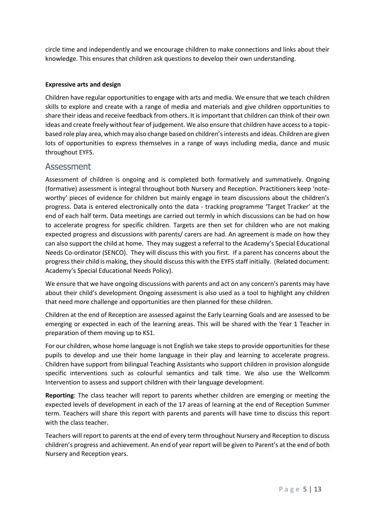circle time and independently and we encourage children to make connections and links about their knowledge. This ensures that children ask questions to develop their own understanding.

# **Expressive arts and design**

Children have regular opportunities to engage with arts and media. We ensure that we teach children skills to explore and create with a range of media and materials and give children opportunities to share their ideas and receive feedback from others. It is important that children can think of their own ideas and create freely without fear of judgement. We also ensure that children have access to a topicbased role play area, which may also change based on children's interests and ideas. Children are given lots of opportunities to express themselves in a range of ways including media, dance and music throughout EYFS.

# **Assessment**

Assessment of children is ongoing and is completed both formatively and summatively. Ongoing (formative) assessment is integral throughout both Nursery and Reception. Practitioners keep 'noteworthy' pieces of evidence for children but mainly engage in team discussions about the children's progress. Data is entered electronically onto the data - tracking programme 'Target Tracker' at the end of each half term. Data meetings are carried out termly in which discussions can be had on how to accelerate progress for specific children. Targets are then set for children who are not making expected progress and discussions with parents/ carers are had. An agreement is made on how they can also support the child at home. They may suggest a referral to the Academy's Special Educational Needs Co-ordinator (SENCO). They will discuss this with you first. If a parent has concerns about the progress their child is making, they should discuss this with the EYFS staff initially. (Related document: Academy's Special Educational Needs Policy).

We ensure that we have ongoing discussions with parents and act on any concern's parents may have about their child's development. Ongoing assessment is also used as a tool to highlight any children that need more challenge and opportunities are then planned for these children.

Children at the end of Reception are assessed against the Early Learning Goals and are assessed to be emerging or expected in each of the learning areas. This will be shared with the Year 1 Teacher in preparation of them moving up to KS1.

For our children, whose home language is not English we take steps to provide opportunities for these pupils to develop and use their home language in their play and learning to accelerate progress. Children have support from bilingual Teaching Assistants who support children in provision alongside specific interventions such as colourful semantics and talk time. We also use the Wellcomm Intervention to assess and support children with their language development.

**Reporting**: The class teacher will report to parents whether children are emerging or meeting the expected levels of development in each of the 17 areas of learning at the end of Reception Summer term. Teachers will share this report with parents and parents will have time to discuss this report with the class teacher.

Teachers will report to parents at the end of every term throughout Nursery and Reception to discuss children's progress and achievement. An end of year report will be given to Parent's at the end of both Nursery and Reception years.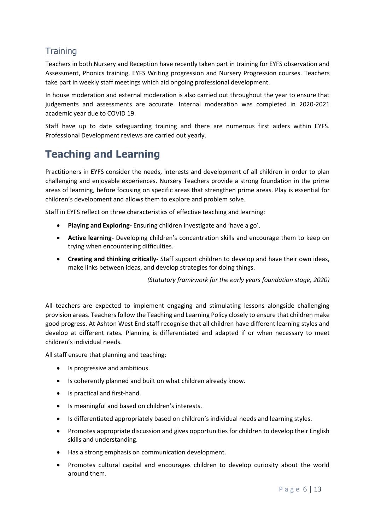# **Training**

Teachers in both Nursery and Reception have recently taken part in training for EYFS observation and Assessment, Phonics training, EYFS Writing progression and Nursery Progression courses. Teachers take part in weekly staff meetings which aid ongoing professional development.

In house moderation and external moderation is also carried out throughout the year to ensure that judgements and assessments are accurate. Internal moderation was completed in 2020-2021 academic year due to COVID 19.

Staff have up to date safeguarding training and there are numerous first aiders within EYFS. Professional Development reviews are carried out yearly.

# **Teaching and Learning**

Practitioners in EYFS consider the needs, interests and development of all children in order to plan challenging and enjoyable experiences. Nursery Teachers provide a strong foundation in the prime areas of learning, before focusing on specific areas that strengthen prime areas. Play is essential for children's development and allows them to explore and problem solve.

Staff in EYFS reflect on three characteristics of effective teaching and learning:

- **Playing and Exploring-** Ensuring children investigate and 'have a go'.
- **Active learning-** Developing children's concentration skills and encourage them to keep on trying when encountering difficulties.
- **Creating and thinking critically-** Staff support children to develop and have their own ideas, make links between ideas, and develop strategies for doing things.

*(Statutory framework for the early years foundation stage, 2020)* 

All teachers are expected to implement engaging and stimulating lessons alongside challenging provision areas. Teachers follow the Teaching and Learning Policy closely to ensure that children make good progress. At Ashton West End staff recognise that all children have different learning styles and develop at different rates. Planning is differentiated and adapted if or when necessary to meet children's individual needs.

All staff ensure that planning and teaching:

- Is progressive and ambitious.
- Is coherently planned and built on what children already know.
- Is practical and first-hand.
- Is meaningful and based on children's interests.
- Is differentiated appropriately based on children's individual needs and learning styles.
- Promotes appropriate discussion and gives opportunities for children to develop their English skills and understanding.
- Has a strong emphasis on communication development.
- Promotes cultural capital and encourages children to develop curiosity about the world around them.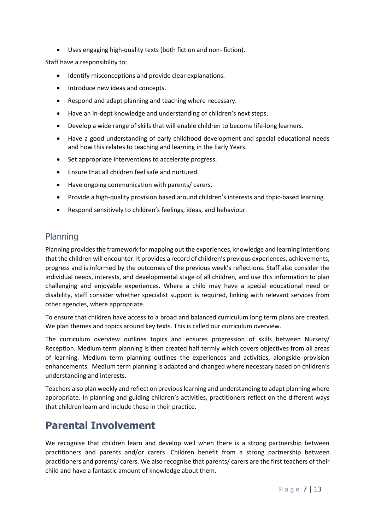• Uses engaging high-quality texts (both fiction and non- fiction).

Staff have a responsibility to:

- Identify misconceptions and provide clear explanations.
- Introduce new ideas and concepts.
- Respond and adapt planning and teaching where necessary.
- Have an in-dept knowledge and understanding of children's next steps.
- Develop a wide range of skills that will enable children to become life-long learners.
- Have a good understanding of early childhood development and special educational needs and how this relates to teaching and learning in the Early Years.
- Set appropriate interventions to accelerate progress.
- Ensure that all children feel safe and nurtured.
- Have ongoing communication with parents/ carers.
- Provide a high-quality provision based around children's interests and topic-based learning.
- Respond sensitively to children's feelings, ideas, and behaviour.

# Planning

Planning provides the framework for mapping out the experiences, knowledge and learning intentions that the children will encounter. It provides a record of children's previous experiences, achievements, progress and is informed by the outcomes of the previous week's reflections. Staff also consider the individual needs, interests, and developmental stage of all children, and use this information to plan challenging and enjoyable experiences. Where a child may have a special educational need or disability, staff consider whether specialist support is required, linking with relevant services from other agencies, where appropriate.

To ensure that children have access to a broad and balanced curriculum long term plans are created. We plan themes and topics around key texts. This is called our curriculum overview.

The curriculum overview outlines topics and ensures progression of skills between Nursery/ Reception. Medium term planning is then created half termly which covers objectives from all areas of learning. Medium term planning outlines the experiences and activities, alongside provision enhancements. Medium term planning is adapted and changed where necessary based on children's understanding and interests.

Teachers also plan weekly and reflect on previous learning and understanding to adapt planning where appropriate. In planning and guiding children's activities, practitioners reflect on the different ways that children learn and include these in their practice.

# **Parental Involvement**

We recognise that children learn and develop well when there is a strong partnership between practitioners and parents and/or carers. Children benefit from a strong partnership between practitioners and parents/ carers. We also recognise that parents/ carers are the first teachers of their child and have a fantastic amount of knowledge about them.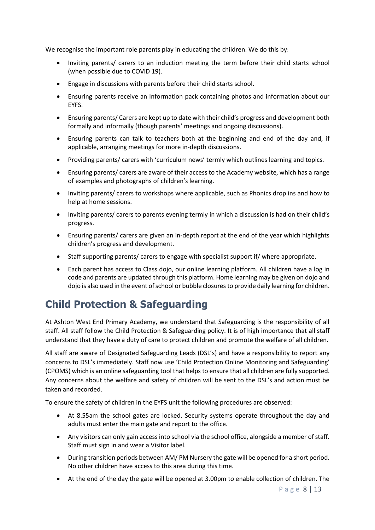We recognise the important role parents play in educating the children. We do this by:

- Inviting parents/ carers to an induction meeting the term before their child starts school (when possible due to COVID 19).
- Engage in discussions with parents before their child starts school.
- Ensuring parents receive an Information pack containing photos and information about our EYFS.
- Ensuring parents/ Carers are kept up to date with their child's progress and development both formally and informally (though parents' meetings and ongoing discussions).
- Ensuring parents can talk to teachers both at the beginning and end of the day and, if applicable, arranging meetings for more in-depth discussions.
- Providing parents/ carers with 'curriculum news' termly which outlines learning and topics.
- Ensuring parents/ carers are aware of their access to the Academy website, which has a range of examples and photographs of children's learning.
- Inviting parents/ carers to workshops where applicable, such as Phonics drop ins and how to help at home sessions.
- Inviting parents/ carers to parents evening termly in which a discussion is had on their child's progress.
- Ensuring parents/ carers are given an in-depth report at the end of the year which highlights children's progress and development.
- Staff supporting parents/ carers to engage with specialist support if/ where appropriate.
- Each parent has access to Class dojo, our online learning platform. All children have a log in code and parents are updated through this platform. Home learning may be given on dojo and dojo is also used in the event of school or bubble closuresto provide daily learning for children.

# **Child Protection & Safeguarding**

At Ashton West End Primary Academy, we understand that Safeguarding is the responsibility of all staff. All staff follow the Child Protection & Safeguarding policy. It is of high importance that all staff understand that they have a duty of care to protect children and promote the welfare of all children.

All staff are aware of Designated Safeguarding Leads (DSL's) and have a responsibility to report any concerns to DSL's immediately. Staff now use 'Child Protection Online Monitoring and Safeguarding' (CPOMS) which is an online safeguarding tool that helps to ensure that all children are fully supported. Any concerns about the welfare and safety of children will be sent to the DSL's and action must be taken and recorded.

To ensure the safety of children in the EYFS unit the following procedures are observed:

- At 8.55am the school gates are locked. Security systems operate throughout the day and adults must enter the main gate and report to the office.
- Any visitors can only gain access into school via the school office, alongside a member of staff. Staff must sign in and wear a Visitor label.
- During transition periods between AM/ PM Nursery the gate will be opened for a short period. No other children have access to this area during this time.
- At the end of the day the gate will be opened at 3.00pm to enable collection of children. The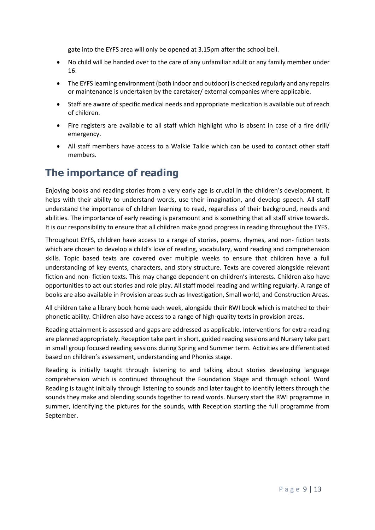gate into the EYFS area will only be opened at 3.15pm after the school bell.

- No child will be handed over to the care of any unfamiliar adult or any family member under 16.
- The EYFS learning environment (both indoor and outdoor) is checked regularly and any repairs or maintenance is undertaken by the caretaker/ external companies where applicable.
- Staff are aware of specific medical needs and appropriate medication is available out of reach of children.
- Fire registers are available to all staff which highlight who is absent in case of a fire drill/ emergency.
- All staff members have access to a Walkie Talkie which can be used to contact other staff members.

# **The importance of reading**

Enjoying books and reading stories from a very early age is crucial in the children's development. It helps with their ability to understand words, use their imagination, and develop speech. All staff understand the importance of children learning to read, regardless of their background, needs and abilities. The importance of early reading is paramount and is something that all staff strive towards. It is our responsibility to ensure that all children make good progress in reading throughout the EYFS.

Throughout EYFS, children have access to a range of stories, poems, rhymes, and non- fiction texts which are chosen to develop a child's love of reading, vocabulary, word reading and comprehension skills. Topic based texts are covered over multiple weeks to ensure that children have a full understanding of key events, characters, and story structure. Texts are covered alongside relevant fiction and non- fiction texts. This may change dependent on children's interests. Children also have opportunities to act out stories and role play. All staff model reading and writing regularly. A range of books are also available in Provision areas such as Investigation, Small world, and Construction Areas.

All children take a library book home each week, alongside their RWI book which is matched to their phonetic ability. Children also have access to a range of high-quality texts in provision areas.

Reading attainment is assessed and gaps are addressed as applicable. Interventions for extra reading are planned appropriately. Reception take part in short, guided reading sessions and Nursery take part in small group focused reading sessions during Spring and Summer term. Activities are differentiated based on children's assessment, understanding and Phonics stage.

Reading is initially taught through listening to and talking about stories developing language comprehension which is continued throughout the Foundation Stage and through school. Word Reading is taught initially through listening to sounds and later taught to identify letters through the sounds they make and blending sounds together to read words. Nursery start the RWI programme in summer, identifying the pictures for the sounds, with Reception starting the full programme from September.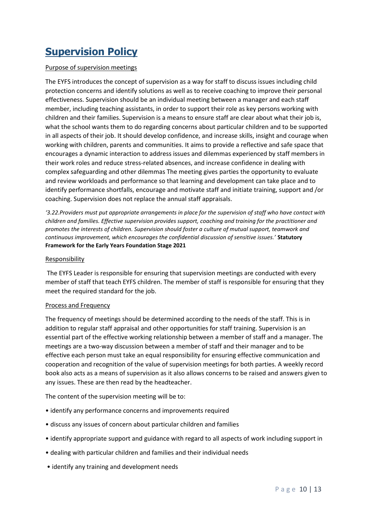# **Supervision Policy**

# Purpose of supervision meetings

The EYFS introduces the concept of supervision as a way for staff to discuss issues including child protection concerns and identify solutions as well as to receive coaching to improve their personal effectiveness. Supervision should be an individual meeting between a manager and each staff member, including teaching assistants, in order to support their role as key persons working with children and their families. Supervision is a means to ensure staff are clear about what their job is, what the school wants them to do regarding concerns about particular children and to be supported in all aspects of their job. It should develop confidence, and increase skills, insight and courage when working with children, parents and communities. It aims to provide a reflective and safe space that encourages a dynamic interaction to address issues and dilemmas experienced by staff members in their work roles and reduce stress-related absences, and increase confidence in dealing with complex safeguarding and other dilemmas The meeting gives parties the opportunity to evaluate and review workloads and performance so that learning and development can take place and to identify performance shortfalls, encourage and motivate staff and initiate training, support and /or coaching. Supervision does not replace the annual staff appraisals.

*'3.22.Providers must put appropriate arrangements in place for the supervision of staff who have contact with children and families. Effective supervision provides support, coaching and training for the practitioner and promotes the interests of children. Supervision should foster a culture of mutual support, teamwork and continuous improvement, which encourages the confidential discussion of sensitive issues.'* **Statutory Framework for the Early Years Foundation Stage 2021**

## Responsibility

The EYFS Leader is responsible for ensuring that supervision meetings are conducted with every member of staff that teach EYFS children. The member of staff is responsible for ensuring that they meet the required standard for the job.

## Process and Frequency

The frequency of meetings should be determined according to the needs of the staff. This is in addition to regular staff appraisal and other opportunities for staff training. Supervision is an essential part of the effective working relationship between a member of staff and a manager. The meetings are a two-way discussion between a member of staff and their manager and to be effective each person must take an equal responsibility for ensuring effective communication and cooperation and recognition of the value of supervision meetings for both parties. A weekly record book also acts as a means of supervision as it also allows concerns to be raised and answers given to any issues. These are then read by the headteacher.

The content of the supervision meeting will be to:

- identify any performance concerns and improvements required
- discuss any issues of concern about particular children and families
- identify appropriate support and guidance with regard to all aspects of work including support in
- dealing with particular children and families and their individual needs
- identify any training and development needs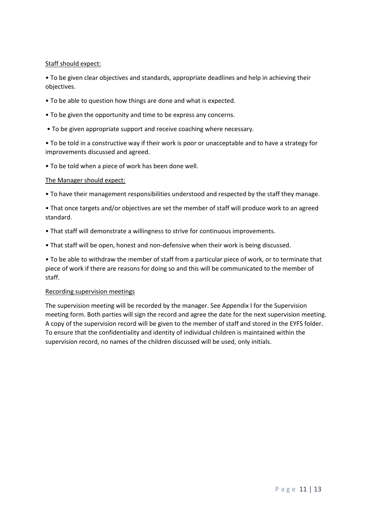## Staff should expect:

• To be given clear objectives and standards, appropriate deadlines and help in achieving their objectives.

- To be able to question how things are done and what is expected.
- To be given the opportunity and time to be express any concerns.
- To be given appropriate support and receive coaching where necessary.

• To be told in a constructive way if their work is poor or unacceptable and to have a strategy for improvements discussed and agreed.

• To be told when a piece of work has been done well.

## The Manager should expect:

- To have their management responsibilities understood and respected by the staff they manage.
- That once targets and/or objectives are set the member of staff will produce work to an agreed standard.
- That staff will demonstrate a willingness to strive for continuous improvements.
- That staff will be open, honest and non-defensive when their work is being discussed.

• To be able to withdraw the member of staff from a particular piece of work, or to terminate that piece of work if there are reasons for doing so and this will be communicated to the member of staff.

## Recording supervision meetings

The supervision meeting will be recorded by the manager. See Appendix I for the Supervision meeting form. Both parties will sign the record and agree the date for the next supervision meeting. A copy of the supervision record will be given to the member of staff and stored in the EYFS folder. To ensure that the confidentiality and identity of individual children is maintained within the supervision record, no names of the children discussed will be used, only initials.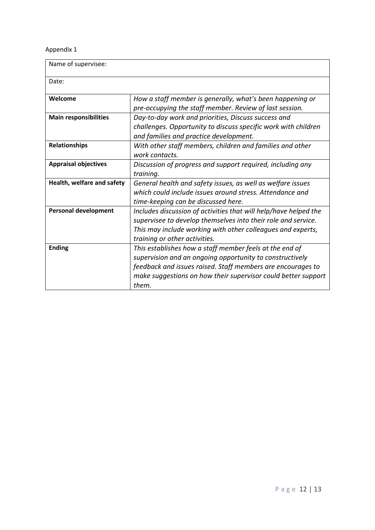# Appendix 1

| Name of supervisee:          |                                                                                                                                                                                                                                                              |  |
|------------------------------|--------------------------------------------------------------------------------------------------------------------------------------------------------------------------------------------------------------------------------------------------------------|--|
| Date:                        |                                                                                                                                                                                                                                                              |  |
| Welcome                      | How a staff member is generally, what's been happening or<br>pre-occupying the staff member. Review of last session.                                                                                                                                         |  |
| <b>Main responsibilities</b> | Day-to-day work and priorities, Discuss success and<br>challenges. Opportunity to discuss specific work with children<br>and families and practice development.                                                                                              |  |
| <b>Relationships</b>         | With other staff members, children and families and other<br>work contacts.                                                                                                                                                                                  |  |
| <b>Appraisal objectives</b>  | Discussion of progress and support required, including any<br>training.                                                                                                                                                                                      |  |
| Health, welfare and safety   | General health and safety issues, as well as welfare issues<br>which could include issues around stress. Attendance and<br>time-keeping can be discussed here.                                                                                               |  |
| <b>Personal development</b>  | Includes discussion of activities that will help/have helped the<br>supervisee to develop themselves into their role and service.<br>This may include working with other colleagues and experts,<br>training or other activities.                            |  |
| <b>Ending</b>                | This establishes how a staff member feels at the end of<br>supervision and an ongoing opportunity to constructively<br>feedback and issues raised. Staff members are encourages to<br>make suggestions on how their supervisor could better support<br>them. |  |